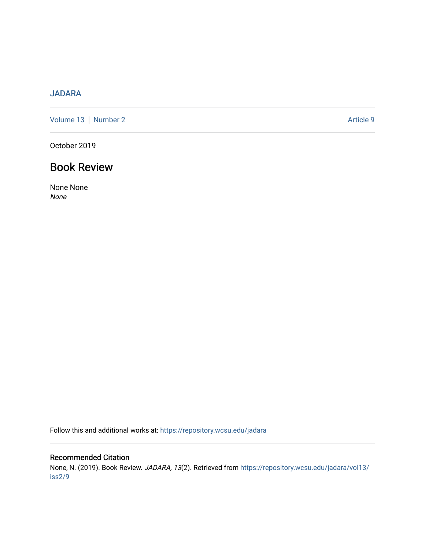# [JADARA](https://repository.wcsu.edu/jadara)

[Volume 13](https://repository.wcsu.edu/jadara/vol13) | [Number 2](https://repository.wcsu.edu/jadara/vol13/iss2) Article 9

October 2019

# Book Review

None None None

Follow this and additional works at: [https://repository.wcsu.edu/jadara](https://repository.wcsu.edu/jadara?utm_source=repository.wcsu.edu%2Fjadara%2Fvol13%2Fiss2%2F9&utm_medium=PDF&utm_campaign=PDFCoverPages)

### Recommended Citation

None, N. (2019). Book Review. JADARA, 13(2). Retrieved from [https://repository.wcsu.edu/jadara/vol13/](https://repository.wcsu.edu/jadara/vol13/iss2/9?utm_source=repository.wcsu.edu%2Fjadara%2Fvol13%2Fiss2%2F9&utm_medium=PDF&utm_campaign=PDFCoverPages) [iss2/9](https://repository.wcsu.edu/jadara/vol13/iss2/9?utm_source=repository.wcsu.edu%2Fjadara%2Fvol13%2Fiss2%2F9&utm_medium=PDF&utm_campaign=PDFCoverPages)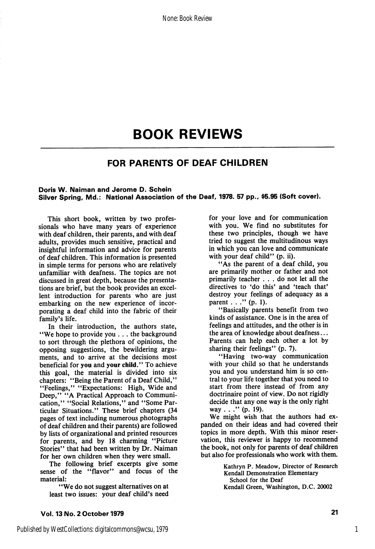# BOOK REVIEWS

### FOR PARENTS OF DEAF CHILDREN

#### Doris W. Naiman and Jerome D. Schein Silver Spring, Md.: National Association of the Deaf, 1978. 57 pp., \$5.95 (Soft cover).

This short book, written by two profes sionals who have many years of experience with deaf children, their parents, and with deaf adults, provides much sensitive, practical and insightful information and advice for parents of deaf children. This information is presented in simple terms for persons who are relatively unfamiliar with deafness. The topics are not discussed in great depth, because the presenta tions are brief, but the book provides an excel lent introduction for parents who are just embarking on the new experience of incor porating a deaf child into the fabric of their family's life.

In their introduction, the authors state, "We hope to provide you ... the background to sort through the plethora of opinions, the opposing suggestions, the bewildering argu ments, and to arrive at the decisions most beneficial for you and your child." To achieve<br>this goal, the material is divided into six this goal, the material is divided into six chapters: "Being the Parent of a Deaf Child," "Feelings," "Expectations: High, Wide and Deep," "A Practical Approach to Communi cation," "Social Relations," and "Some Par ticular Situations." These brief chapters (34 pages of text including numerous photographs of deaf children and their parents) are followed by lists of organizational and printed resources for parents, and by 18 charming "Picture Stories" that had been written by Dr. Naiman for her own children when they were small.

The following brief excerpts give some sense of the "flavor" and focus of the material:

"We do not suggest alternatives on at least two issues: your deaf child's need

for your love and for communication with you. We find no substitutes for these two principles, though we have tried to suggest the multitudinous ways in which you can love and communicate with your deaf child" (p. ii).

"As the parent of a deaf child, you are primarily mother or father and not primarily teacher ... do not let all the directives to 'do this' and 'teach that' destroy your feelings of adequacy as a parent . . . " (p. 1).

"Basically parents benefit from two kinds of assistance. One is in the area of feelings and attitudes, and the other is in the area of knowledge about deafness... Parents can help each other a lot by sharing their feelings" (p. 7).

"Having two-way communication with your child so that he understands you and you understand him is so cen tral to your life together that you need to start from there instead of from any doctrinaire point of view. Do not rigidly decide that any one way is the only right way . . ." (p. 19).

We might wish that the authors had ex panded on their ideas and had covered their topics in more depth. With this minor reser vation, this reviewer is happy to recommend the book, not only for parents of deaf children but also for professionals who work with them.

> Kathryn P. Meadow, Director of Research Kendall Demonstration Elementary School for the Deaf Kendall Green, Washington, D.C. 20002

Vol. 13 No. 2 October 1979 <sup>21</sup>

1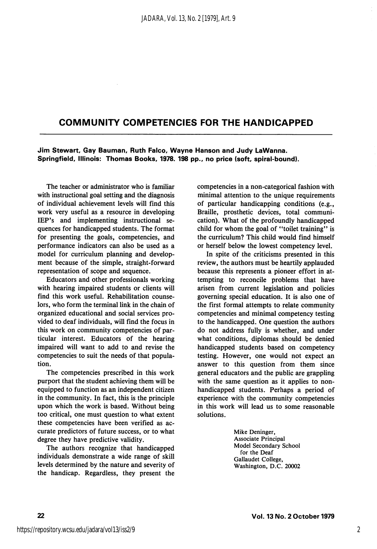### COMMUNITY COMPETENCIES FOR THE HANDICAPPED

Jim Stewart, Gay Bauman, Ruth Faico, Wayne Hanson and Judy LaWanna. Springfield, lilinois: Thomas Books, 1978. 198 pp., no price (soft, spirai-bound).

The teacher or administrator who is familiar with instructional goal setting and the diagnosis of individual achievement levels will find this work very useful as a resource in developing lEP's and implementing instructional se quences for handicapped students. The format for presenting the goals, competencies, and performance indicators can also be used as a model for curriculum planning and develop ment because of the simple, straight-forward representation of scope and sequence.

Educators and other professionals working with hearing impaired students or clients will find this work useful. Rehabilitation counse lors, who form the terminal link in the chain of organized educational and social services pro vided to deaf individuals, will find the focus in this work on community competencies of par ticular interest. Educators of the hearing impaired will want to add to and revise the competencies to suit the needs of that popula tion.

The competencies prescribed in this work purport that the student achieving them will be equipped to function as an independent citizen in the community. In fact, this is the principle upon which the work is based. Without being too critical, one must question to what extent these competencies have been verified as ac curate predictors of future success, or to what degree they have predictive validity.

The authors recognize that handicapped individuals demonstrate a wide range of skill levels determined by the nature and severity of the handicap. Regardless, they present the competencies in a non-categorical fashion with minimal attention to the unique requirements of particular handicapping conditions (e.g.. Braille, prosthetic devices, total communi cation). What of the profoundly handicapped child for whom the goal of "toilet training'' is the curriculum? This child would find himself or herself below the lowest competency level.

In spite of the criticisms presented in this review, the authors must be heartily applauded because this represents a pioneer effort in at tempting to reconcile problems that have arisen from current legislation and policies governing special education. It is also one of the first formal attempts to relate community competencies and minimal competency testing to the handicapped. One question the authors do not address fully is whether, and under what conditions, diplomas should be denied handicapped students based on competency testing. However, one would not expect an answer to this question from them since general educators and the public are grappling with the same question as it applies to nonhandicapped students. Perhaps a period of experience with the community competencies in this work will lead us to some reasonable solutions.

> Mike Deninger, Associate Principal Model Secondary School for the Deaf Gallaudet College, Washington, D.C. 20002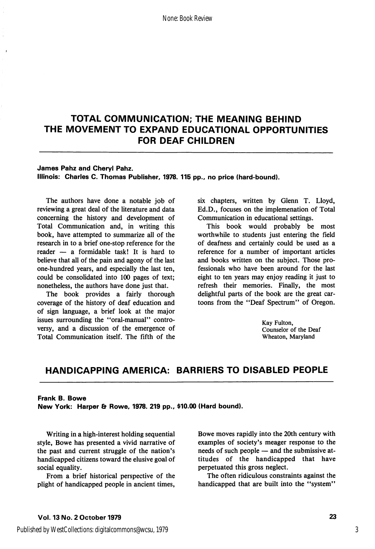# TOTAL COMMUNICATION; THE MEANING BEHIND THE MOVEMENT TO EXPAND EDUCATIONAL OPPORTUNITIES FOR DEAF CHILDREN

#### James Pahz and Cheryl Pahz.

Illinois: Charles C. Thomas Publisher, 1978. 115 pp., no price (hard-bound).

The authors have done a notable job of reviewing a great deal of the literature and data concerning the history and development of Total Communication and, in writing this book, have attempted to summarize all of the research in to a brief one-stop reference for the reader — a formidable task! It is hard to believe that all of the pain and agony of the last one-hundred years, and especially the last ten, could be consolidated into 100 pages of text; nonetheless, the authors have done just that.

The book provides a fairly thorough coverage of the history of deaf education and of sign language, a brief look at the major issues surrounding the "oral-manual" controversy, and a discussion of the emergence of Total Communication itself. The fifth of the six chapters, written by Glenn T. Lloyd, Ed.D., focuses on the implemenation of Total Communication in educational settings.

This book would probably be most worthwhile to students just entering the field of deafness and certainly could be used as a reference for a number of important articles and books written on the subject. Those pro fessionals who have been around for the last eight to ten years may enjoy reading it just to refresh their memories. Finally, the most delightful parts of the book are the great car toons from the "Deaf Spectrum" of Oregon.

> Kay Fulton, Counselor of the Deaf Wheaton, Maryland

### HANDICAPPING AMERICA: BARRIERS TO DISABLED PEOPLE

#### Frank B. Bowe

New York: Harper & Rowe, 1978. 219 pp., \$10.00 (Hard bound).

Writing in a high-interest holding sequential style, Bowe has presented a vivid narrative of the past and current struggle of the nation's handicapped citizens toward the elusive goal of social equality.

From a brief historical perspective of the plight of handicapped people in ancient times.

Bowe moves rapidly into the 20th century with examples of society's meager response to the needs of such people — and the submissive at titudes of the handicapped that have perpetuated this gross neglect.

The often ridiculous constraints against the handicapped that are built into the "system"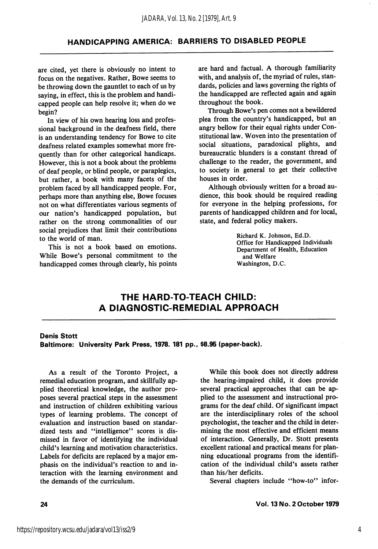### HANDICAPPING AMERICA: BARRIERS TO DISABLED PEOPLE

are cited, yet there is obviously no intent to focus on the negatives. Rather, Bowe seems to be throwing down the gauntlet to each of us by saying, in effect, this is the problem and handi capped people can help resolve it; when do we begin?

In view of his own hearing loss and profes sional background in the deafness field, there is an understanding tendency for Bowe to cite deafness related examples somewhat more fre quently than for other categorical handicaps. However, this is not a book about the problems of deaf people, or blind people, or paraplegics, but rather, a book with many facets of the problem faced by all handicapped people. For, perhaps more than anything else, Bowe focuses not on what differentiates various segments of our nation's handicapped population, but rather on the strong commonalities of our social prejudices that limit their contributions to the world of man.

This is not a book based on emotions. While Bowe's personal commitment to the handicapped comes through clearly, his points are hard and factual. A thorough familiarity with, and analysis of, the myriad of rules, stan dards, policies and laws governing the rights of the handicapped are reflected again and again throughout the book.

Through Bowe's pen comes not a bewildered plea from the country's handicapped, but an angry bellow for their equal rights under Con stitutional law. Woven into the presentation of social situations, paradoxical plights, and bureaucratic blunders is a constant thread of challenge to the reader, the government, and to society in general to get their collective houses in order.

Although obviously written for a broad au dience, this book should be required reading for everyone in the helping professions, for parents of handicapped children and for local, state, and federal policy makers.

> Richard K. Johnson, Ed.D. Office for Handicapped Individuals Department of Health, Education and Welfare Washington, D.C.

# THE HARD-TO-TEACH CHILD: A DIAGNOSTIC-REMEDIAL APPROACH

#### Denis Stott

Baltimore: University Park Press, 1978. 181 pp., \$8.95 (paper-back).

As a result of the Toronto Project, a remedial education program, and skillfully ap plied theoretical knowledge, the author pro poses several practical steps in the assessment and instruction of children exhibiting various types of learning problems. The concept of evaluation and instruction based on standar dized tests and "intelligence" scores is dismissed in favor of identifying the individual child's learning and motivation characteristics. Labels for deficits are replaced by a major em phasis on the individual's reaction to and in teraction with the learning environment and the demands of the curriculum.

While this book does not directly address the hearing-impaired child, it does provide several practical approaches that can be ap plied to the assessment and instructional pro grams for the deaf child. Of significant impact are the interdisciplinary roles of the school psychologist, the teacher and the child in deter mining the most effective and efficient means of interaction. Generally, Dr. Stott presents excellent rational and practical means for plan ning educational programs from the identifi cation of the individual child's assets rather than his/her deficits.

Several chapters include "how-to" infor-

24 Vol. 13 No. 2 October 1979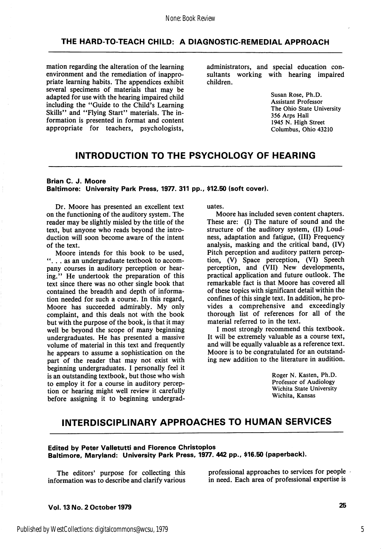#### THE HARD-TO-TEACH CHILD: A DIAGNOSTIC-REMEDIAL APPROACH

mation regarding the alteration of the learning environment and the remediation of inappropriate learning habits. The appendices exhibit several specimens of materials that may be adapted for use with the hearing impaired child including the "Guide to the Child's Learning Skills" and "Flying Start" materials. The information is presented in format and content appropriate for teachers, psychologists, administrators, and special education con sultants working with hearing impaired children.

> Susan Rose, Ph.D. Assistant Professor The Ohio State University 356 Arps Hall 1945 N. High Street Columbus, Ohio 43210

### INTRODUCTION TO THE PSYCHOLOGY OF HEARING

#### Brian C. J. Moore Baltimore: University Park Press, 1977. 311 pp., \$12.50 (soft cover).

Dr. Moore has presented an excellent text on the functioning of the auditory system. The reader may be slightly misled by the title of the text, but anyone who reads beyond the intro duction will soon become aware of the intent of the text.

Moore intends for this book to be used, "... as an undergraduate textbook to accompany courses in auditory perception or hear ing." He undertook the preparation of this text since there was no other single book that contained the breadth and depth of informa tion needed for such a course. In this regard, Moore has succeeded admirably. My only complaint, and this deals not with the book but with the purpose of the book, is that it may well be beyond the scope of many beginning undergraduates. He has presented a massive volume of material in this text and frequently he appears to assume a sophistication on the part of the reader that may not exist with beginning undergraduates. I personally feel it is an outstanding textbook, but those who wish to employ it for a course in auditory percep tion or hearing might well review it carefully before assigning it to beginning undergrad uates.

Moore has included seven content chapters. These are: (I) The nature of sound and the structure of the auditory system, (II) Loudness, adaptation and fatigue, (III) Frequency analysis, masking and the critical band, (IV) Pitch perception and auditory pattern percep tion, (V) Space perception, (VI) Speech perception, and (VII) New developments, practical application and future outlook. The remarkable fact is that Moore has covered all of these topics with significant detail within the confines of this single text. In addition, he pro vides a comprehensive and exceedingly thorough list of references for all of the material referred to in the text.

I most strongly recommend this textbook. It will be extremely valuable as a course text, and will be equally valuable as a reference text. Moore is to be congratulated for an outstand ing new addition to the literature in audition.

> Roger N. Kasten, Ph.D. Professor of Audiology Wichita State University Wichita, Kansas

# INTERDISCIPLINARY APPROACHES TO HUMAN SERVICES

#### Edited by Peter Valletutti and Florence Christoplos Baltimore, Maryland: University Park Press, 1977. 442 pp., \$16.50 (paperback).

The editors' purpose for collecting this information was to describe and clarify various

professional approaches to services for people in need. Each area of professional expertise is

Vol. 13 No. 2 October 1979 25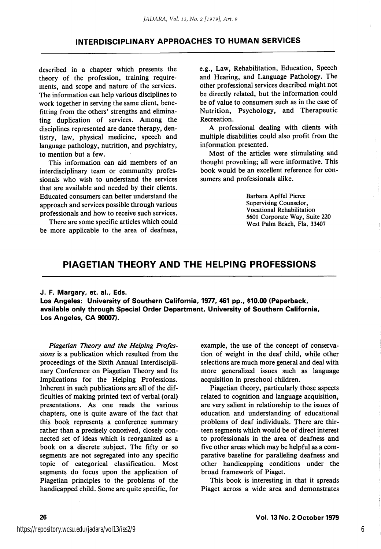### INTERDISCIPLINARY APPROACHES TO HUMAN SERVICES

described in a chapter which presents the theory of the profession, training require ments, and scope and nature of the services. The information can help various disciplines to work together in serving the same client, benefitting from the others' strengths and elimina ting duplication of services. Among the disciplines represented are dance therapy, dentistry, law, physical medicine, speech and language pathology, nutrition, and psychiatry, to mention but a few.

This information can aid members of an interdisciplinary team or community profes sionals who wish to understand the services that are available and needed by their clients. Educated consumers can better understand the approach and services possible through various professionals and how to receive such services.

There are some specific articles which could be more applicable to the area of deafness.

e.g.. Law, Rehabilitation, Education, Speech and Hearing, and Language Pathology. The other professional services described might not be directly related, but the information could be of value to consumers such as in the case of Nutrition, Psychology, and Therapeutic Recreation.

A professional dealing with clients with multiple disabilities could also profit from the information presented.

Most of the articles were stimulating and thought provoking; all were informative. This book would be an excellent reference for con sumers and professionals alike.

> Barbara Apffel Pierce Supervising Counselor, Vocational Rehabilitation 5601 Corporate Way, Suite 220 West Palm Beach, Fla. 33407

### PIAGETIAN THEORY AND THE HELPING PROFESSIONS

#### J. F. Margary, et. al., Eds.

Los Angeles: University of Southern California, 1977, 461 pp., \$10.00 (Paperback, available only through Special Order Department, University of Southern California, Los Angeles, CA 90007).

Piagetian Theory and the Helping Profes sions is a publication which resulted from the proceedings of the Sixth Annual Interdiscipli nary Conference on Piagetian Theory and Its Implications for the Helping Professions. Inherent in such publications are all of the dif ficulties of making printed text of verbal (oral) presentations. As one reads the various chapters, one is quite aware of the fact that this book represents a conference summary rather than a precisely conceived, closely con nected set of ideas which is reorganized as a book on a discrete subject. The fifty or so segments are not segregated into any specific topic of categorical classification. Most segments do focus upon the application of Piagetian principles to the problems of the handicapped child. Some are quite specific, for example, the use of the concept of conserva tion of weight in the deaf child, while other selections are much more general and deal with more generalized issues such as language acquisition in preschool children.

Piagetian theory, particularly those aspects related to cognition and language acquisition, are very salient in relationship to the issues of education and understanding of educational problems of deaf individuals. There are thir teen segments which would be of direct interest to professionals in the area of deafness and five other areas which may be helpful as a com parative baseline for paralleling deafness and other handicapping conditions under the broad framework of Piaget.

This book is interesting in that it spreads Piaget across a wide area and demonstrates

6